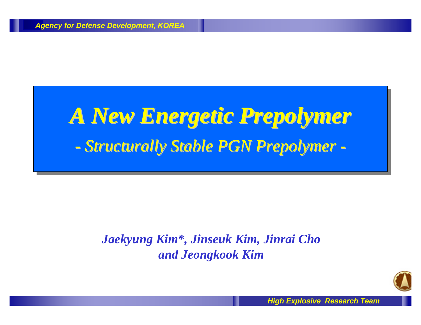# *A New E A New Energetic Pre nergetic Prepolymer polymer - Structurally Stable PGN Prepolymer -*

#### *Jaekyung Kim\*, Jinseuk Kim, Jinrai Cho and Jeongkook Kim*

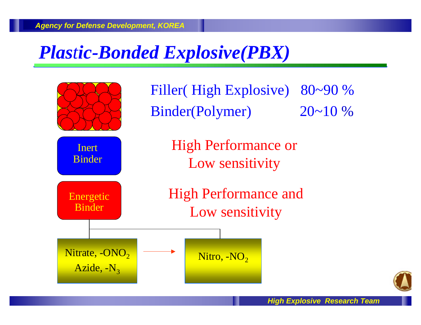### *Plastic-Bonded Explosive(PBX)*



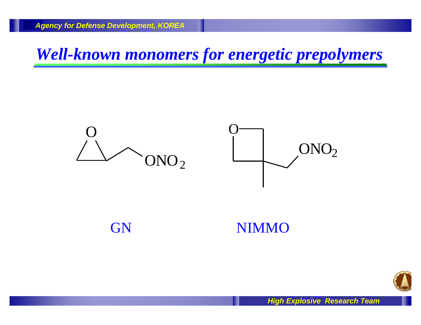*Well-known monomers for energetic prepolymers*





#### GN NIMMO

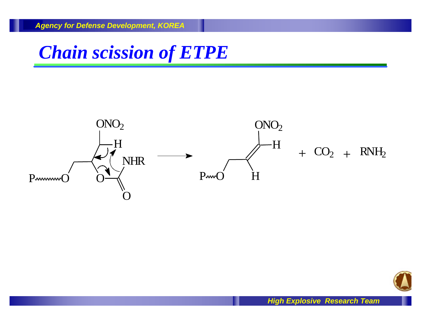### *Chain scission of ETPE*



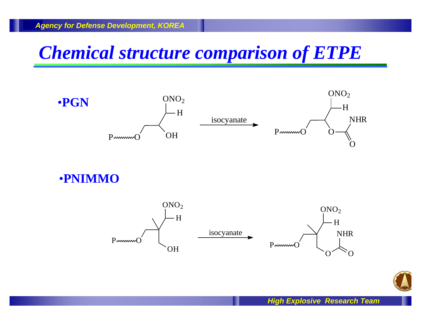### *Chemical structure comparison of ETPE*



•**PNIMMO**



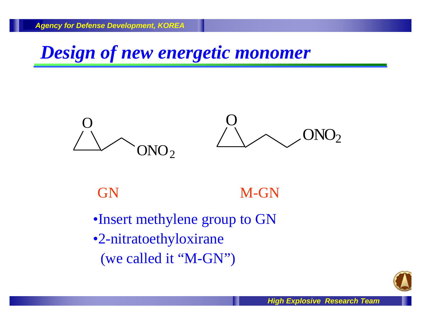*Design of new energetic monomer*



#### GN M-GN

- •Insert methylene group to GN
- •2-nitratoethyloxirane
	- (we called it "M-GN")

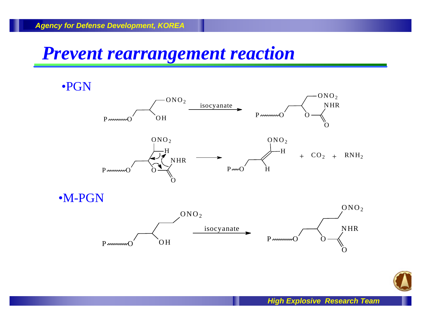#### *Prevent rearrangement reaction*

•PGN  $P_{\text{www}}$  OH  $ONO<sub>2</sub>$  $P<sub>www</sub>O$  $ONO<sub>2</sub>$ O NHR O isocyanate  $P<sub>www</sub>$  $ONO<sub>2</sub>$ H O NHR O  $+$  CO<sub>2</sub>  $+$  RNH<sub>2</sub>  $P \sim O'$  H  $ONO<sub>2</sub>$ H •M-PGN isocyanate  $P<sub>www</sub>$ NHR O  $ONO<sub>2</sub>$  $P<sub>www</sub>O'$  OH  $ONO<sub>2</sub>$ 

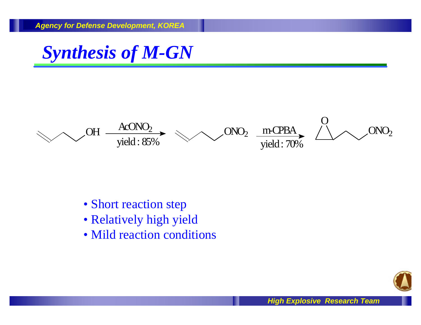



- Short reaction step
- Relatively high yield
- Mild reaction conditions

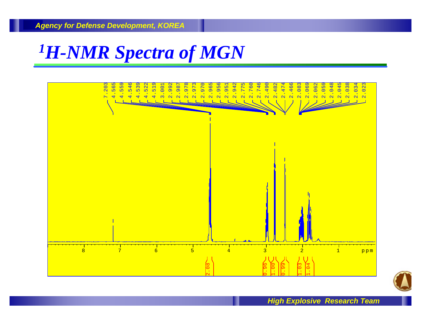#### *<sup>1</sup>H-NMR Spectra of MGN*



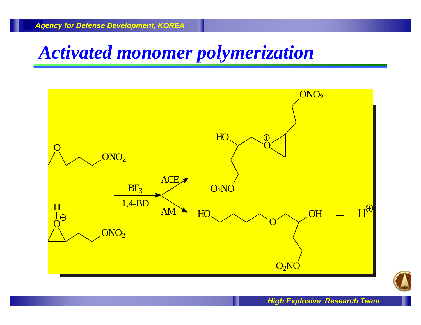### *Activated monomer polymerization*



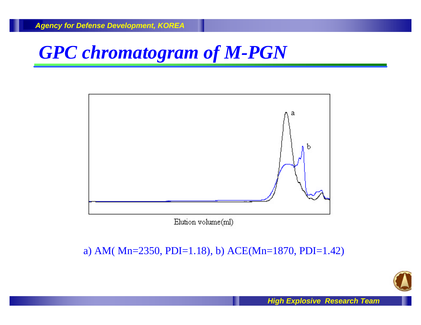# *GPC chromatogram of M-PGN*



Elution volume(ml)

#### a) AM( Mn=2350, PDI=1.18), b) ACE(Mn=1870, PDI=1.42)

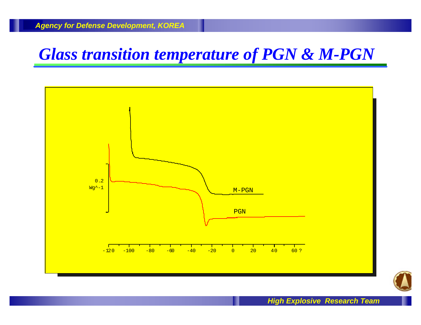#### *Glass transition temperature of PGN & M-PGN*



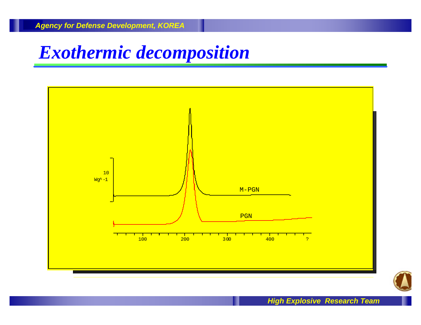#### *Exothermic decomposition*



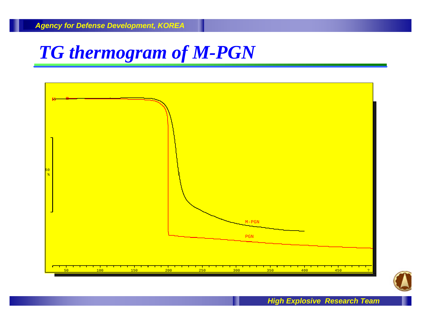## *TG thermogram of M-PGN*



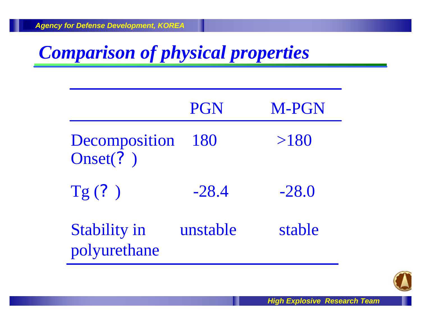# *Comparison of physical properties*

|                                     | <b>PGN</b> | <b>M-PGN</b> |
|-------------------------------------|------------|--------------|
| Decomposition<br>Onset(?)           | 180        | >180         |
| Tg(?)                               | $-28.4$    | $-28.0$      |
| <b>Stability in</b><br>polyurethane | unstable   | stable       |

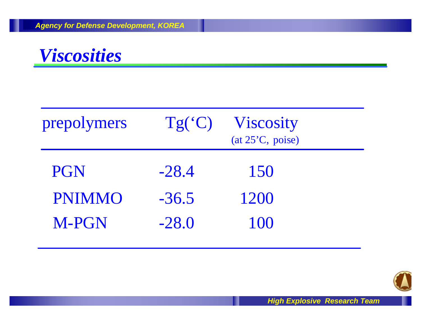

| prepolymers   | Tg('C)  | <b>Viscosity</b><br>(at 25 <sup>o</sup> C, poise) |  |
|---------------|---------|---------------------------------------------------|--|
| <b>PGN</b>    | $-28.4$ | 150                                               |  |
| <b>PNIMMO</b> | $-36.5$ | 1200                                              |  |
| <b>M-PGN</b>  | $-28.0$ | 100                                               |  |

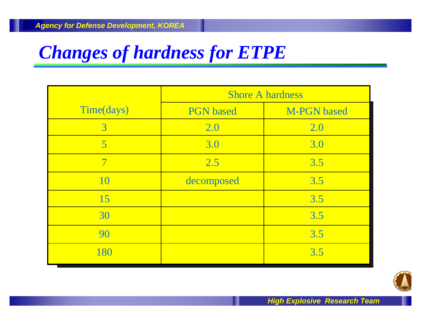# *Changes of hardness for ETPE*

|                          | <b>Shore A hardness</b> |                    |  |
|--------------------------|-------------------------|--------------------|--|
| Time(days)               | <b>PGN</b> based        | <b>M-PGN</b> based |  |
| $\overline{3}$           | 2.0                     | 2.0                |  |
| 5                        | 3.0                     | 3.0                |  |
| $\overline{\mathcal{I}}$ | 2.5                     | 3.5                |  |
| 10                       | decomposed              | 3.5                |  |
| 15                       |                         | 3.5                |  |
| 30                       |                         | 3.5                |  |
| 90                       |                         | 3.5                |  |
| 180                      |                         | 3.5                |  |

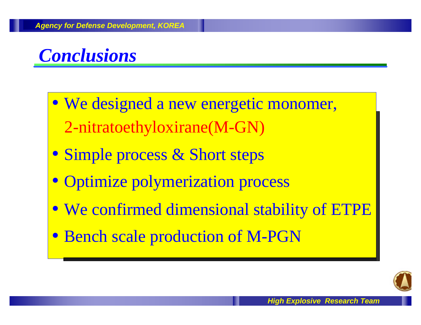

- We designed a new energetic monomer, We designed a new energetic monomer, 2-nitratoethyloxirane(M-GN) 2-nitratoethyloxirane(M-GN)
- Simple process & Short steps Simple process & Short steps
- Optimize polymerization process Optimize polymerization process
- We confirmed dimensional stability of ETPE We confirmed dimensional stability of ETPE
- Bench scale production of M-PGN Bench scale production of M-PGN